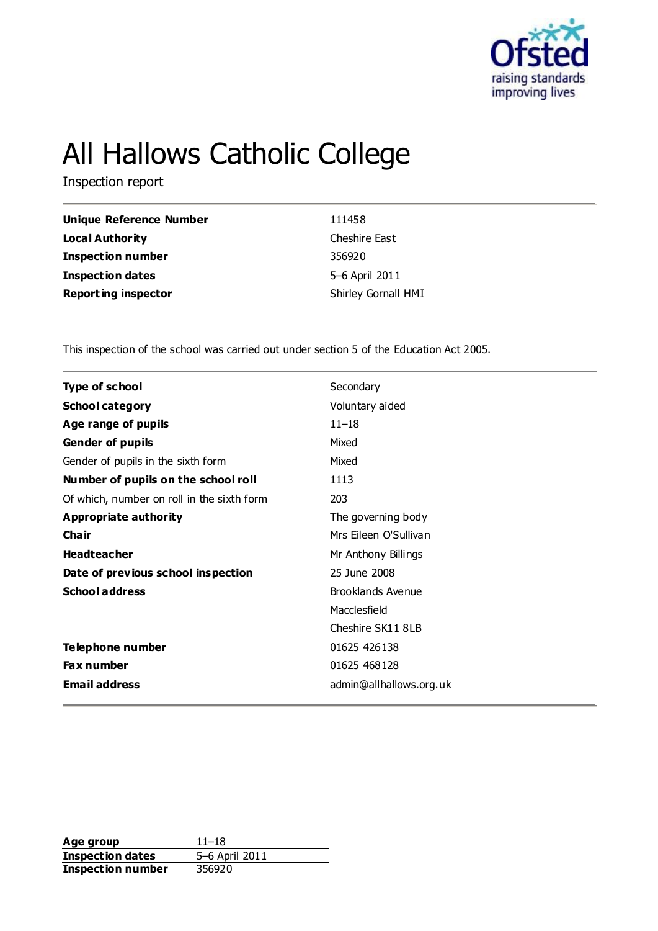

# All Hallows Catholic College

Inspection report

| <b>Unique Reference Number</b> | 111458              |
|--------------------------------|---------------------|
| <b>Local Authority</b>         | Cheshire East       |
| <b>Inspection number</b>       | 356920              |
| <b>Inspection dates</b>        | 5–6 April 2011      |
| <b>Reporting inspector</b>     | Shirley Gornall HMI |

This inspection of the school was carried out under section 5 of the Education Act 2005.

| <b>Type of school</b>                      | Secondary               |
|--------------------------------------------|-------------------------|
| <b>School category</b>                     | Voluntary aided         |
| Age range of pupils                        | $11 - 18$               |
| <b>Gender of pupils</b>                    | Mixed                   |
| Gender of pupils in the sixth form         | Mixed                   |
| Number of pupils on the school roll        | 1113                    |
| Of which, number on roll in the sixth form | 203                     |
| Appropriate authority                      | The governing body      |
| Cha ir                                     | Mrs Eileen O'Sullivan   |
| <b>Headteacher</b>                         | Mr Anthony Billings     |
| Date of previous school inspection         | 25 June 2008            |
| <b>School address</b>                      | Brooklands Avenue       |
|                                            | Macclesfield            |
|                                            | Cheshire SK11 8LB       |
| Telephone number                           | 01625 426138            |
| <b>Fax number</b>                          | 01625 468128            |
| <b>Email address</b>                       | admin@allhallows.org.uk |

**Age group** 11–18<br> **Inspection dates** 5–6 April 2011 **Inspection dates Inspection number** 356920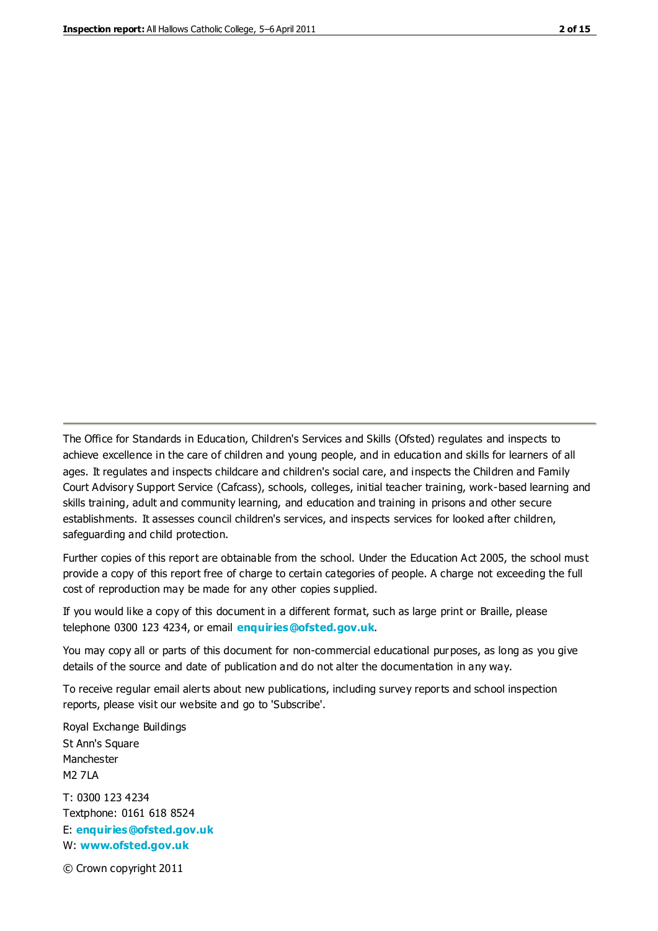The Office for Standards in Education, Children's Services and Skills (Ofsted) regulates and inspects to achieve excellence in the care of children and young people, and in education and skills for learners of all ages. It regulates and inspects childcare and children's social care, and inspects the Children and Family Court Advisory Support Service (Cafcass), schools, colleges, initial teacher training, work-based learning and skills training, adult and community learning, and education and training in prisons and other secure establishments. It assesses council children's services, and inspects services for looked after children, safeguarding and child protection.

Further copies of this report are obtainable from the school. Under the Education Act 2005, the school must provide a copy of this report free of charge to certain categories of people. A charge not exceeding the full cost of reproduction may be made for any other copies supplied.

If you would like a copy of this document in a different format, such as large print or Braille, please telephone 0300 123 4234, or email **[enquiries@ofsted.gov.uk](mailto:enquiries@ofsted.gov.uk)**.

You may copy all or parts of this document for non-commercial educational purposes, as long as you give details of the source and date of publication and do not alter the documentation in any way.

To receive regular email alerts about new publications, including survey reports and school inspection reports, please visit our website and go to 'Subscribe'.

Royal Exchange Buildings St Ann's Square Manchester M2 7LA T: 0300 123 4234 Textphone: 0161 618 8524 E: **[enquiries@ofsted.gov.uk](mailto:enquiries@ofsted.gov.uk)**

W: **[www.ofsted.gov.uk](http://www.ofsted.gov.uk/)**

© Crown copyright 2011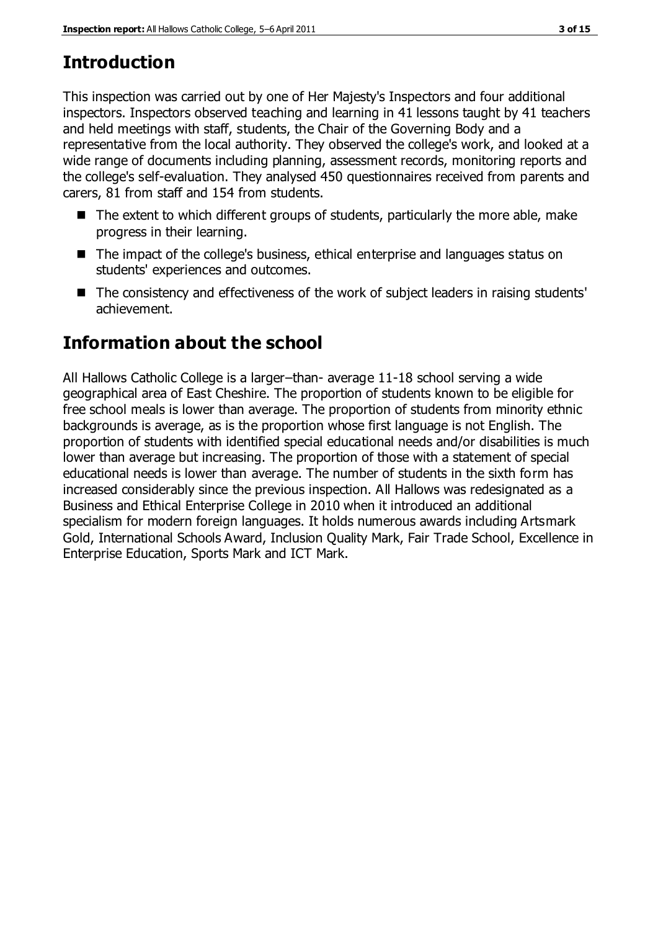# **Introduction**

This inspection was carried out by one of Her Majesty's Inspectors and four additional inspectors. Inspectors observed teaching and learning in 41 lessons taught by 41 teachers and held meetings with staff, students, the Chair of the Governing Body and a representative from the local authority. They observed the college's work, and looked at a wide range of documents including planning, assessment records, monitoring reports and the college's self-evaluation. They analysed 450 questionnaires received from parents and carers, 81 from staff and 154 from students.

- $\blacksquare$  The extent to which different groups of students, particularly the more able, make progress in their learning.
- The impact of the college's business, ethical enterprise and languages status on students' experiences and outcomes.
- The consistency and effectiveness of the work of subject leaders in raising students' achievement.

# **Information about the school**

All Hallows Catholic College is a larger–than- average 11-18 school serving a wide geographical area of East Cheshire. The proportion of students known to be eligible for free school meals is lower than average. The proportion of students from minority ethnic backgrounds is average, as is the proportion whose first language is not English. The proportion of students with identified special educational needs and/or disabilities is much lower than average but increasing. The proportion of those with a statement of special educational needs is lower than average. The number of students in the sixth form has increased considerably since the previous inspection. All Hallows was redesignated as a Business and Ethical Enterprise College in 2010 when it introduced an additional specialism for modern foreign languages. It holds numerous awards including Artsmark Gold, International Schools Award, Inclusion Quality Mark, Fair Trade School, Excellence in Enterprise Education, Sports Mark and ICT Mark.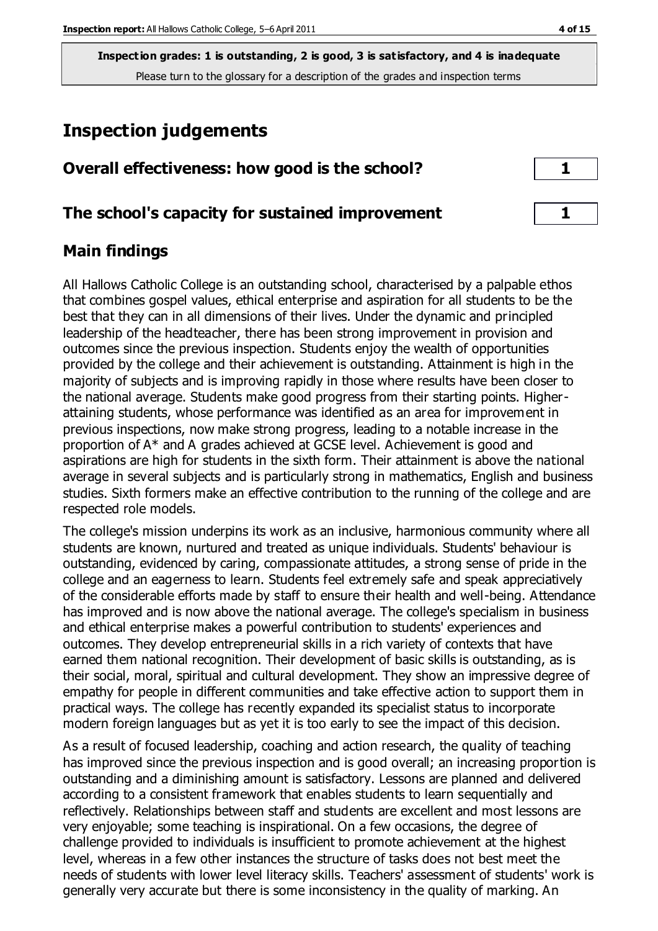# **Inspection judgements**

# **Overall effectiveness: how good is the school?** 1

## **The school's capacity for sustained improvement 1**

# **Main findings**

All Hallows Catholic College is an outstanding school, characterised by a palpable ethos that combines gospel values, ethical enterprise and aspiration for all students to be the best that they can in all dimensions of their lives. Under the dynamic and principled leadership of the headteacher, there has been strong improvement in provision and outcomes since the previous inspection. Students enjoy the wealth of opportunities provided by the college and their achievement is outstanding. Attainment is high in the majority of subjects and is improving rapidly in those where results have been closer to the national average. Students make good progress from their starting points. Higherattaining students, whose performance was identified as an area for improvement in previous inspections, now make strong progress, leading to a notable increase in the proportion of A\* and A grades achieved at GCSE level. Achievement is good and aspirations are high for students in the sixth form. Their attainment is above the national average in several subjects and is particularly strong in mathematics, English and business studies. Sixth formers make an effective contribution to the running of the college and are respected role models.

The college's mission underpins its work as an inclusive, harmonious community where all students are known, nurtured and treated as unique individuals. Students' behaviour is outstanding, evidenced by caring, compassionate attitudes, a strong sense of pride in the college and an eagerness to learn. Students feel extremely safe and speak appreciatively of the considerable efforts made by staff to ensure their health and well-being. Attendance has improved and is now above the national average. The college's specialism in business and ethical enterprise makes a powerful contribution to students' experiences and outcomes. They develop entrepreneurial skills in a rich variety of contexts that have earned them national recognition. Their development of basic skills is outstanding, as is their social, moral, spiritual and cultural development. They show an impressive degree of empathy for people in different communities and take effective action to support them in practical ways. The college has recently expanded its specialist status to incorporate modern foreign languages but as yet it is too early to see the impact of this decision.

As a result of focused leadership, coaching and action research, the quality of teaching has improved since the previous inspection and is good overall; an increasing proportion is outstanding and a diminishing amount is satisfactory. Lessons are planned and delivered according to a consistent framework that enables students to learn sequentially and reflectively. Relationships between staff and students are excellent and most lessons are very enjoyable; some teaching is inspirational. On a few occasions, the degree of challenge provided to individuals is insufficient to promote achievement at the highest level, whereas in a few other instances the structure of tasks does not best meet the needs of students with lower level literacy skills. Teachers' assessment of students' work is generally very accurate but there is some inconsistency in the quality of marking. An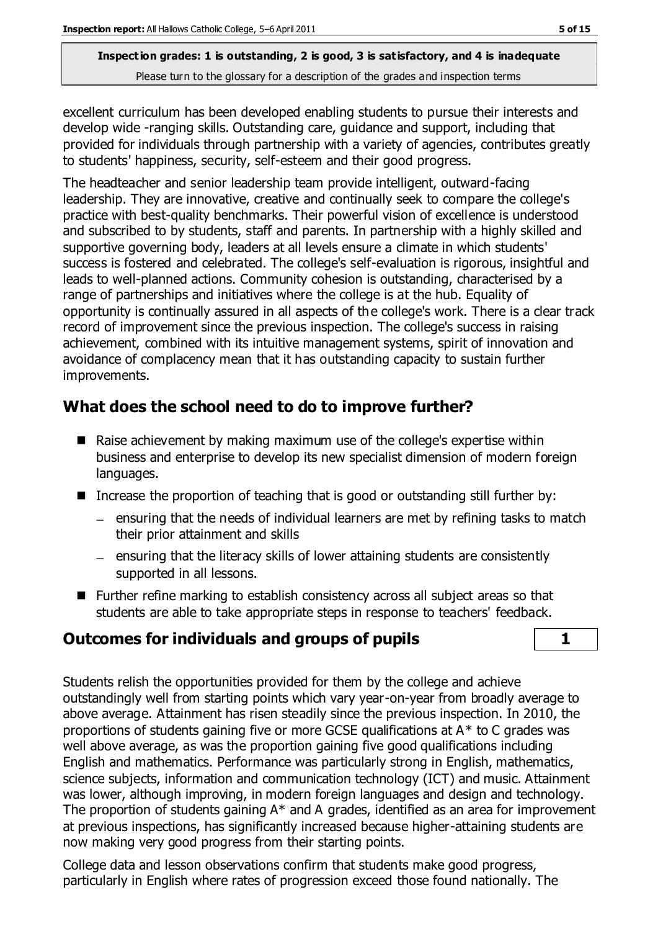excellent curriculum has been developed enabling students to pursue their interests and develop wide -ranging skills. Outstanding care, guidance and support, including that provided for individuals through partnership with a variety of agencies, contributes greatly to students' happiness, security, self-esteem and their good progress.

The headteacher and senior leadership team provide intelligent, outward-facing leadership. They are innovative, creative and continually seek to compare the college's practice with best-quality benchmarks. Their powerful vision of excellence is understood and subscribed to by students, staff and parents. In partnership with a highly skilled and supportive governing body, leaders at all levels ensure a climate in which students' success is fostered and celebrated. The college's self-evaluation is rigorous, insightful and leads to well-planned actions. Community cohesion is outstanding, characterised by a range of partnerships and initiatives where the college is at the hub. Equality of opportunity is continually assured in all aspects of the college's work. There is a clear track record of improvement since the previous inspection. The college's success in raising achievement, combined with its intuitive management systems, spirit of innovation and avoidance of complacency mean that it has outstanding capacity to sustain further improvements.

# **What does the school need to do to improve further?**

- Raise achievement by making maximum use of the college's expertise within business and enterprise to develop its new specialist dimension of modern foreign languages.
- Increase the proportion of teaching that is good or outstanding still further by:
	- $=$  ensuring that the needs of individual learners are met by refining tasks to match their prior attainment and skills
	- $=$  ensuring that the literacy skills of lower attaining students are consistently supported in all lessons.
- Further refine marking to establish consistency across all subject areas so that students are able to take appropriate steps in response to teachers' feedback.

# **Outcomes for individuals and groups of pupils 1**

Students relish the opportunities provided for them by the college and achieve outstandingly well from starting points which vary year-on-year from broadly average to above average. Attainment has risen steadily since the previous inspection. In 2010, the proportions of students gaining five or more GCSE qualifications at  $A^*$  to C grades was well above average, as was the proportion gaining five good qualifications including English and mathematics. Performance was particularly strong in English, mathematics, science subjects, information and communication technology (ICT) and music. Attainment was lower, although improving, in modern foreign languages and design and technology. The proportion of students gaining A\* and A grades, identified as an area for improvement at previous inspections, has significantly increased because higher-attaining students are now making very good progress from their starting points.

College data and lesson observations confirm that students make good progress, particularly in English where rates of progression exceed those found nationally. The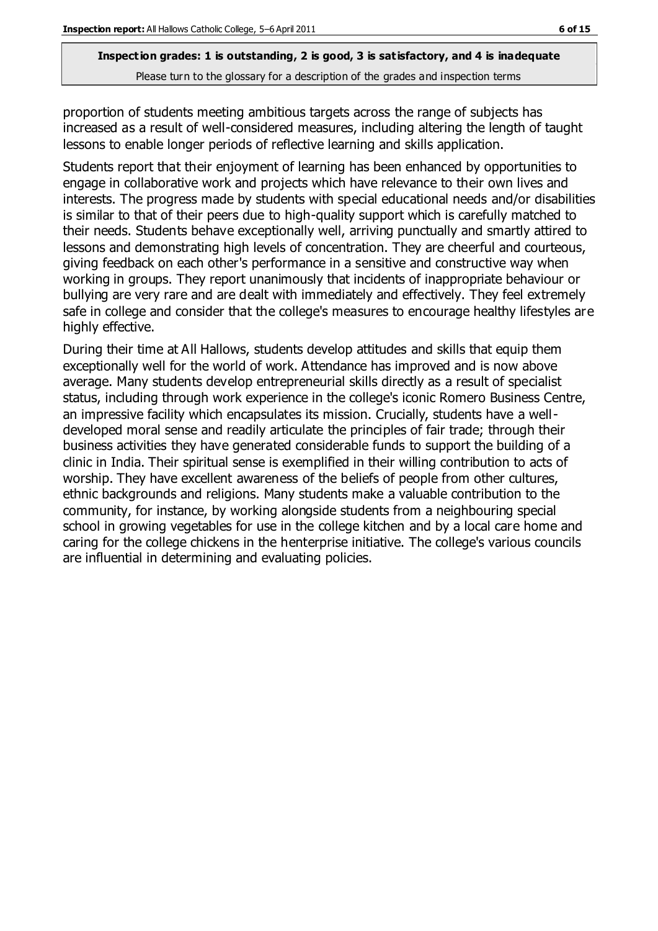proportion of students meeting ambitious targets across the range of subjects has increased as a result of well-considered measures, including altering the length of taught lessons to enable longer periods of reflective learning and skills application.

Students report that their enjoyment of learning has been enhanced by opportunities to engage in collaborative work and projects which have relevance to their own lives and interests. The progress made by students with special educational needs and/or disabilities is similar to that of their peers due to high-quality support which is carefully matched to their needs. Students behave exceptionally well, arriving punctually and smartly attired to lessons and demonstrating high levels of concentration. They are cheerful and courteous, giving feedback on each other's performance in a sensitive and constructive way when working in groups. They report unanimously that incidents of inappropriate behaviour or bullying are very rare and are dealt with immediately and effectively. They feel extremely safe in college and consider that the college's measures to encourage healthy lifestyles are highly effective.

During their time at All Hallows, students develop attitudes and skills that equip them exceptionally well for the world of work. Attendance has improved and is now above average. Many students develop entrepreneurial skills directly as a result of specialist status, including through work experience in the college's iconic Romero Business Centre, an impressive facility which encapsulates its mission. Crucially, students have a welldeveloped moral sense and readily articulate the principles of fair trade; through their business activities they have generated considerable funds to support the building of a clinic in India. Their spiritual sense is exemplified in their willing contribution to acts of worship. They have excellent awareness of the beliefs of people from other cultures, ethnic backgrounds and religions. Many students make a valuable contribution to the community, for instance, by working alongside students from a neighbouring special school in growing vegetables for use in the college kitchen and by a local care home and caring for the college chickens in the henterprise initiative. The college's various councils are influential in determining and evaluating policies.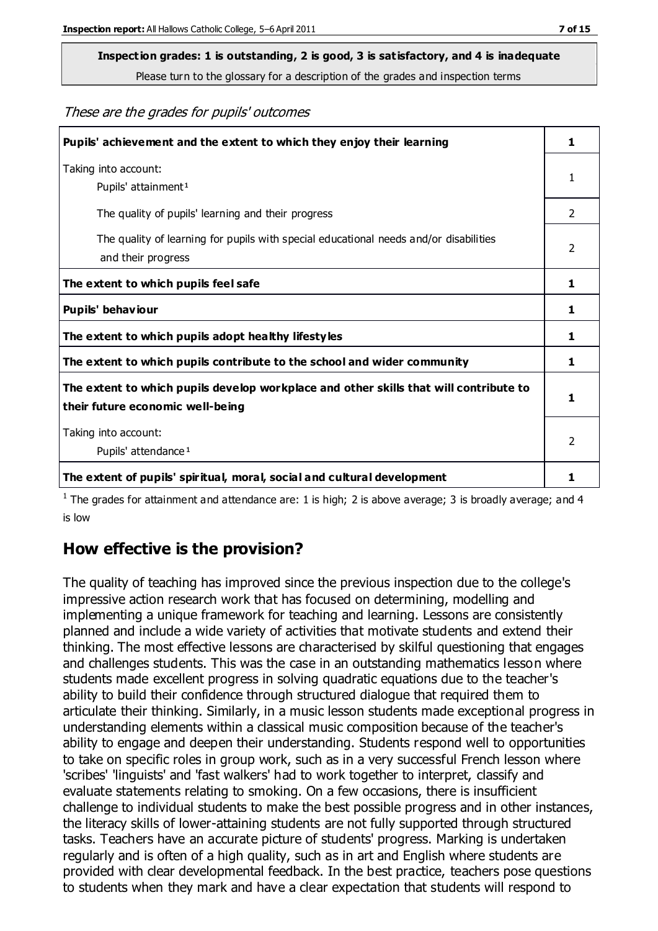# **Inspection grades: 1 is outstanding, 2 is good, 3 is satisfactory, and 4 is inadequate**

Please turn to the glossary for a description of the grades and inspection terms

These are the grades for pupils' outcomes

| Pupils' achievement and the extent to which they enjoy their learning                                                     | 1              |
|---------------------------------------------------------------------------------------------------------------------------|----------------|
| Taking into account:<br>Pupils' attainment <sup>1</sup>                                                                   | 1              |
| The quality of pupils' learning and their progress                                                                        | $\mathcal{P}$  |
| The quality of learning for pupils with special educational needs and/or disabilities<br>and their progress               | $\overline{2}$ |
| The extent to which pupils feel safe                                                                                      | 1              |
| Pupils' behaviour                                                                                                         | 1              |
| The extent to which pupils adopt healthy lifestyles                                                                       | 1              |
| The extent to which pupils contribute to the school and wider community                                                   | 1              |
| The extent to which pupils develop workplace and other skills that will contribute to<br>their future economic well-being |                |
| Taking into account:<br>Pupils' attendance <sup>1</sup>                                                                   | $\mathfrak{p}$ |
| The extent of pupils' spiritual, moral, social and cultural development                                                   | 1              |

<sup>1</sup> The grades for attainment and attendance are: 1 is high; 2 is above average; 3 is broadly average; and 4 is low

# **How effective is the provision?**

The quality of teaching has improved since the previous inspection due to the college's impressive action research work that has focused on determining, modelling and implementing a unique framework for teaching and learning. Lessons are consistently planned and include a wide variety of activities that motivate students and extend their thinking. The most effective lessons are characterised by skilful questioning that engages and challenges students. This was the case in an outstanding mathematics lesson where students made excellent progress in solving quadratic equations due to the teacher's ability to build their confidence through structured dialogue that required them to articulate their thinking. Similarly, in a music lesson students made exceptional progress in understanding elements within a classical music composition because of the teacher's ability to engage and deepen their understanding. Students respond well to opportunities to take on specific roles in group work, such as in a very successful French lesson where 'scribes' 'linguists' and 'fast walkers' had to work together to interpret, classify and evaluate statements relating to smoking. On a few occasions, there is insufficient challenge to individual students to make the best possible progress and in other instances, the literacy skills of lower-attaining students are not fully supported through structured tasks. Teachers have an accurate picture of students' progress. Marking is undertaken regularly and is often of a high quality, such as in art and English where students are provided with clear developmental feedback. In the best practice, teachers pose questions to students when they mark and have a clear expectation that students will respond to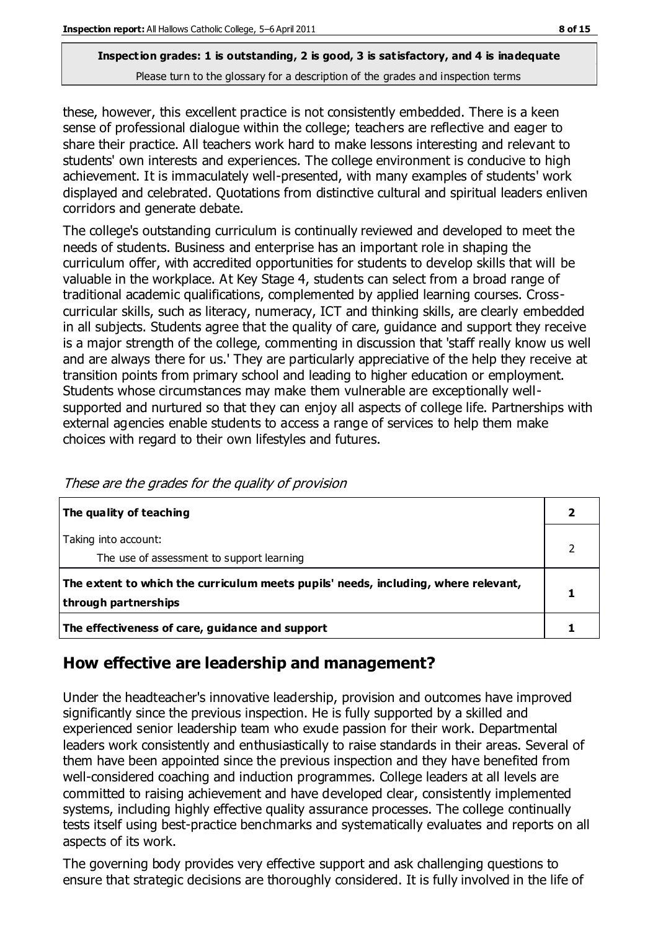these, however, this excellent practice is not consistently embedded. There is a keen sense of professional dialogue within the college; teachers are reflective and eager to share their practice. All teachers work hard to make lessons interesting and relevant to students' own interests and experiences. The college environment is conducive to high achievement. It is immaculately well-presented, with many examples of students' work displayed and celebrated. Quotations from distinctive cultural and spiritual leaders enliven corridors and generate debate.

The college's outstanding curriculum is continually reviewed and developed to meet the needs of students. Business and enterprise has an important role in shaping the curriculum offer, with accredited opportunities for students to develop skills that will be valuable in the workplace. At Key Stage 4, students can select from a broad range of traditional academic qualifications, complemented by applied learning courses. Crosscurricular skills, such as literacy, numeracy, ICT and thinking skills, are clearly embedded in all subjects. Students agree that the quality of care, guidance and support they receive is a major strength of the college, commenting in discussion that 'staff really know us well and are always there for us.' They are particularly appreciative of the help they receive at transition points from primary school and leading to higher education or employment. Students whose circumstances may make them vulnerable are exceptionally wellsupported and nurtured so that they can enjoy all aspects of college life. Partnerships with external agencies enable students to access a range of services to help them make choices with regard to their own lifestyles and futures.

| The quality of teaching                                                                                    |  |
|------------------------------------------------------------------------------------------------------------|--|
| Taking into account:<br>The use of assessment to support learning                                          |  |
| The extent to which the curriculum meets pupils' needs, including, where relevant,<br>through partnerships |  |
| The effectiveness of care, guidance and support                                                            |  |

These are the grades for the quality of provision

# **How effective are leadership and management?**

Under the headteacher's innovative leadership, provision and outcomes have improved significantly since the previous inspection. He is fully supported by a skilled and experienced senior leadership team who exude passion for their work. Departmental leaders work consistently and enthusiastically to raise standards in their areas. Several of them have been appointed since the previous inspection and they have benefited from well-considered coaching and induction programmes. College leaders at all levels are committed to raising achievement and have developed clear, consistently implemented systems, including highly effective quality assurance processes. The college continually tests itself using best-practice benchmarks and systematically evaluates and reports on all aspects of its work.

The governing body provides very effective support and ask challenging questions to ensure that strategic decisions are thoroughly considered. It is fully involved in the life of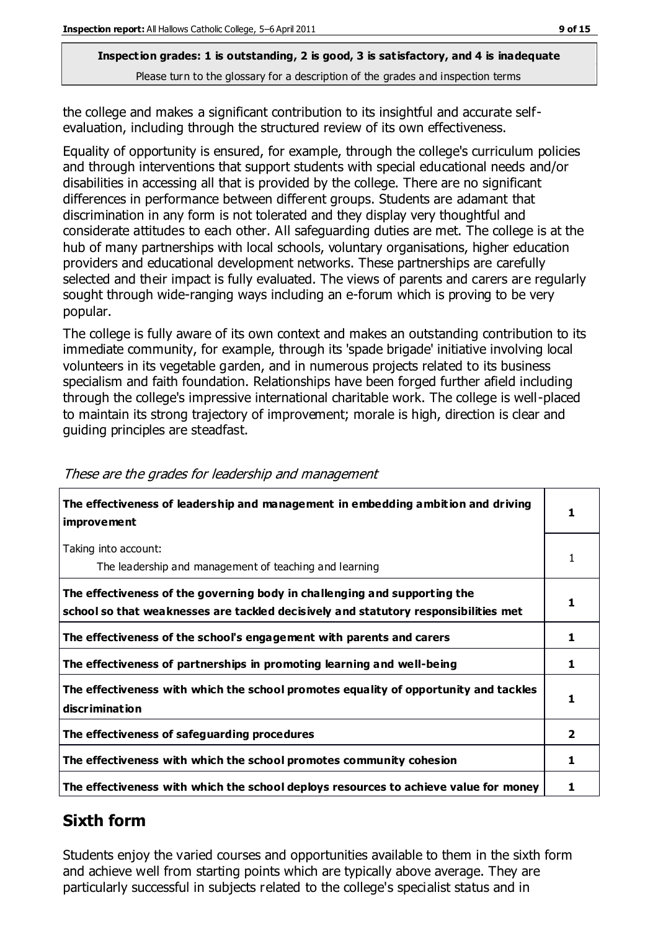the college and makes a significant contribution to its insightful and accurate selfevaluation, including through the structured review of its own effectiveness.

Equality of opportunity is ensured, for example, through the college's curriculum policies and through interventions that support students with special educational needs and/or disabilities in accessing all that is provided by the college. There are no significant differences in performance between different groups. Students are adamant that discrimination in any form is not tolerated and they display very thoughtful and considerate attitudes to each other. All safeguarding duties are met. The college is at the hub of many partnerships with local schools, voluntary organisations, higher education providers and educational development networks. These partnerships are carefully selected and their impact is fully evaluated. The views of parents and carers are regularly sought through wide-ranging ways including an e-forum which is proving to be very popular.

The college is fully aware of its own context and makes an outstanding contribution to its immediate community, for example, through its 'spade brigade' initiative involving local volunteers in its vegetable garden, and in numerous projects related to its business specialism and faith foundation. Relationships have been forged further afield including through the college's impressive international charitable work. The college is well-placed to maintain its strong trajectory of improvement; morale is high, direction is clear and guiding principles are steadfast.

| The effectiveness of leadership and management in embedding ambition and driving<br><i>improvement</i>                                                           |   |
|------------------------------------------------------------------------------------------------------------------------------------------------------------------|---|
| Taking into account:<br>The leadership and management of teaching and learning                                                                                   | 1 |
| The effectiveness of the governing body in challenging and supporting the<br>school so that weaknesses are tackled decisively and statutory responsibilities met | 1 |
| The effectiveness of the school's engagement with parents and carers                                                                                             | 1 |
| The effectiveness of partnerships in promoting learning and well-being                                                                                           | 1 |
| The effectiveness with which the school promotes equality of opportunity and tackles<br>discrimination                                                           | 1 |
| The effectiveness of safeguarding procedures                                                                                                                     | 2 |
| The effectiveness with which the school promotes community cohesion                                                                                              | 1 |
| The effectiveness with which the school deploys resources to achieve value for money                                                                             | 1 |

#### These are the grades for leadership and management

# **Sixth form**

Students enjoy the varied courses and opportunities available to them in the sixth form and achieve well from starting points which are typically above average. They are particularly successful in subjects related to the college's specialist status and in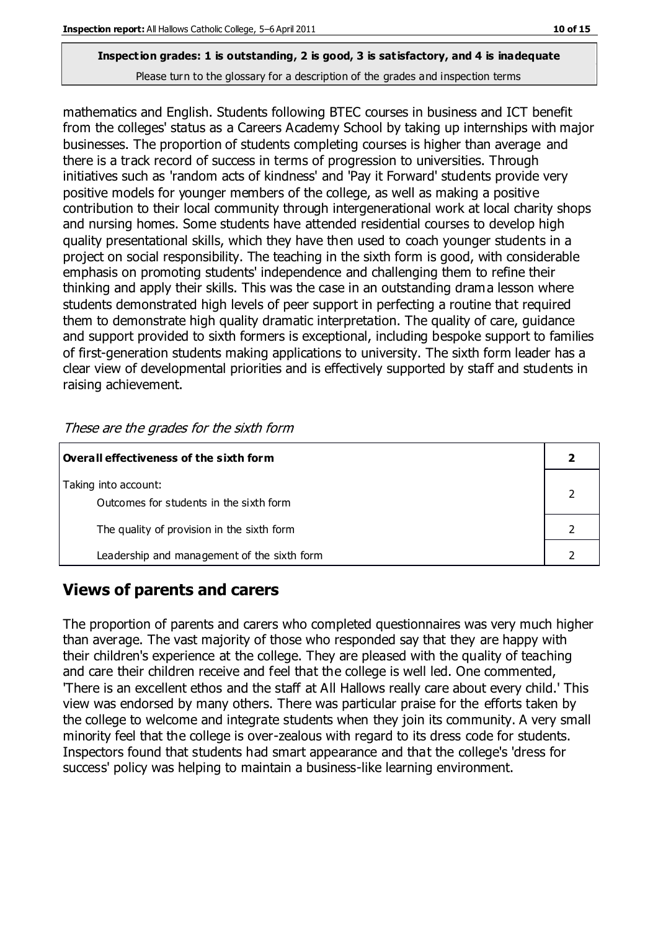# **Inspection grades: 1 is outstanding, 2 is good, 3 is satisfactory, and 4 is inadequate**

Please turn to the glossary for a description of the grades and inspection terms

mathematics and English. Students following BTEC courses in business and ICT benefit from the colleges' status as a Careers Academy School by taking up internships with major businesses. The proportion of students completing courses is higher than average and there is a track record of success in terms of progression to universities. Through initiatives such as 'random acts of kindness' and 'Pay it Forward' students provide very positive models for younger members of the college, as well as making a positive contribution to their local community through intergenerational work at local charity shops and nursing homes. Some students have attended residential courses to develop high quality presentational skills, which they have then used to coach younger students in a project on social responsibility. The teaching in the sixth form is good, with considerable emphasis on promoting students' independence and challenging them to refine their thinking and apply their skills. This was the case in an outstanding drama lesson where students demonstrated high levels of peer support in perfecting a routine that required them to demonstrate high quality dramatic interpretation. The quality of care, guidance and support provided to sixth formers is exceptional, including bespoke support to families of first-generation students making applications to university. The sixth form leader has a clear view of developmental priorities and is effectively supported by staff and students in raising achievement.

| Overall effectiveness of the sixth form                         |  |  |
|-----------------------------------------------------------------|--|--|
| Taking into account:<br>Outcomes for students in the sixth form |  |  |
| The quality of provision in the sixth form                      |  |  |
| Leadership and management of the sixth form                     |  |  |

These are the grades for the sixth form

# **Views of parents and carers**

The proportion of parents and carers who completed questionnaires was very much higher than average. The vast majority of those who responded say that they are happy with their children's experience at the college. They are pleased with the quality of teaching and care their children receive and feel that the college is well led. One commented, 'There is an excellent ethos and the staff at All Hallows really care about every child.' This view was endorsed by many others. There was particular praise for the efforts taken by the college to welcome and integrate students when they join its community. A very small minority feel that the college is over-zealous with regard to its dress code for students. Inspectors found that students had smart appearance and that the college's 'dress for success' policy was helping to maintain a business-like learning environment.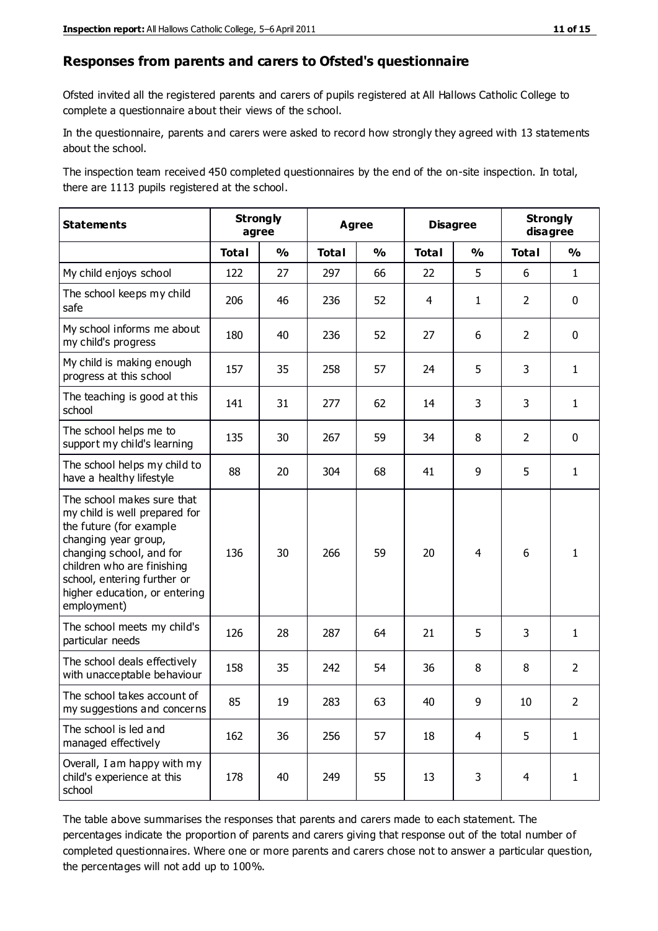#### **Responses from parents and carers to Ofsted's questionnaire**

Ofsted invited all the registered parents and carers of pupils registered at All Hallows Catholic College to complete a questionnaire about their views of the school.

In the questionnaire, parents and carers were asked to record how strongly they agreed with 13 statements about the school.

The inspection team received 450 completed questionnaires by the end of the on-site inspection. In total, there are 1113 pupils registered at the school.

| <b>Statements</b>                                                                                                                                                                                                                                       | <b>Strongly</b><br>agree |               | <b>Agree</b> |               |              | <b>Disagree</b> |                | <b>Strongly</b><br>disagree |  |
|---------------------------------------------------------------------------------------------------------------------------------------------------------------------------------------------------------------------------------------------------------|--------------------------|---------------|--------------|---------------|--------------|-----------------|----------------|-----------------------------|--|
|                                                                                                                                                                                                                                                         | <b>Total</b>             | $\frac{1}{2}$ | <b>Total</b> | $\frac{0}{0}$ | <b>Total</b> | $\frac{1}{2}$   | <b>Total</b>   | $\frac{0}{0}$               |  |
| My child enjoys school                                                                                                                                                                                                                                  | 122                      | 27            | 297          | 66            | 22           | 5               | 6              | $\mathbf{1}$                |  |
| The school keeps my child<br>safe                                                                                                                                                                                                                       | 206                      | 46            | 236          | 52            | 4            | $\mathbf{1}$    | $\overline{2}$ | $\mathbf 0$                 |  |
| My school informs me about<br>my child's progress                                                                                                                                                                                                       | 180                      | 40            | 236          | 52            | 27           | 6               | $\overline{2}$ | $\mathbf 0$                 |  |
| My child is making enough<br>progress at this school                                                                                                                                                                                                    | 157                      | 35            | 258          | 57            | 24           | 5               | 3              | $\mathbf{1}$                |  |
| The teaching is good at this<br>school                                                                                                                                                                                                                  | 141                      | 31            | 277          | 62            | 14           | 3               | 3              | $\mathbf{1}$                |  |
| The school helps me to<br>support my child's learning                                                                                                                                                                                                   | 135                      | 30            | 267          | 59            | 34           | 8               | $\overline{2}$ | $\mathbf 0$                 |  |
| The school helps my child to<br>have a healthy lifestyle                                                                                                                                                                                                | 88                       | 20            | 304          | 68            | 41           | 9               | 5              | $\mathbf{1}$                |  |
| The school makes sure that<br>my child is well prepared for<br>the future (for example<br>changing year group,<br>changing school, and for<br>children who are finishing<br>school, entering further or<br>higher education, or entering<br>employment) | 136                      | 30            | 266          | 59            | 20           | 4               | 6              | $\mathbf{1}$                |  |
| The school meets my child's<br>particular needs                                                                                                                                                                                                         | 126                      | 28            | 287          | 64            | 21           | 5               | 3              | $\mathbf{1}$                |  |
| The school deals effectively<br>with unacceptable behaviour                                                                                                                                                                                             | 158                      | 35            | 242          | 54            | 36           | 8               | 8              | $\overline{2}$              |  |
| The school takes account of<br>my suggestions and concerns                                                                                                                                                                                              | 85                       | 19            | 283          | 63            | 40           | 9               | 10             | $\mathcal{P}$               |  |
| The school is led and<br>managed effectively                                                                                                                                                                                                            | 162                      | 36            | 256          | 57            | 18           | $\overline{4}$  | 5              | $\mathbf{1}$                |  |
| Overall, I am happy with my<br>child's experience at this<br>school                                                                                                                                                                                     | 178                      | 40            | 249          | 55            | 13           | 3               | $\overline{4}$ | $\mathbf{1}$                |  |

The table above summarises the responses that parents and carers made to each statement. The percentages indicate the proportion of parents and carers giving that response out of the total number of completed questionnaires. Where one or more parents and carers chose not to answer a particular question, the percentages will not add up to 100%.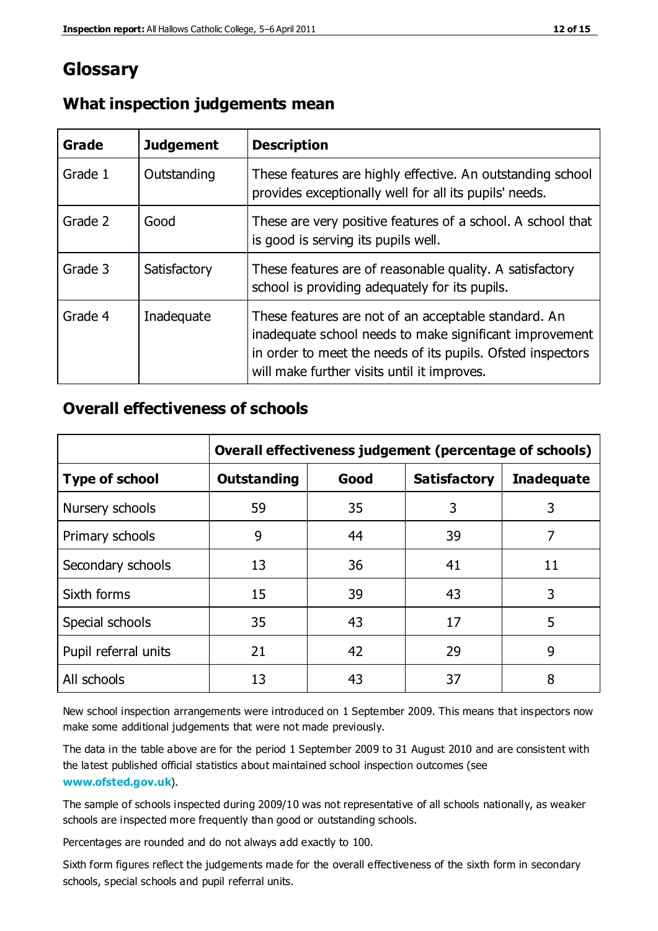# **Glossary**

| Grade   | <b>Judgement</b> | <b>Description</b>                                                                                                                                                                                                            |
|---------|------------------|-------------------------------------------------------------------------------------------------------------------------------------------------------------------------------------------------------------------------------|
| Grade 1 | Outstanding      | These features are highly effective. An outstanding school<br>provides exceptionally well for all its pupils' needs.                                                                                                          |
| Grade 2 | Good             | These are very positive features of a school. A school that<br>is good is serving its pupils well.                                                                                                                            |
| Grade 3 | Satisfactory     | These features are of reasonable quality. A satisfactory<br>school is providing adequately for its pupils.                                                                                                                    |
| Grade 4 | Inadequate       | These features are not of an acceptable standard. An<br>inadequate school needs to make significant improvement<br>in order to meet the needs of its pupils. Ofsted inspectors<br>will make further visits until it improves. |

#### **What inspection judgements mean**

# **Overall effectiveness of schools**

|                       | Overall effectiveness judgement (percentage of schools) |      |                     |                   |
|-----------------------|---------------------------------------------------------|------|---------------------|-------------------|
| <b>Type of school</b> | <b>Outstanding</b>                                      | Good | <b>Satisfactory</b> | <b>Inadequate</b> |
| Nursery schools       | 59                                                      | 35   | 3                   | 3                 |
| Primary schools       | 9                                                       | 44   | 39                  | 7                 |
| Secondary schools     | 13                                                      | 36   | 41                  | 11                |
| Sixth forms           | 15                                                      | 39   | 43                  | 3                 |
| Special schools       | 35                                                      | 43   | 17                  | 5                 |
| Pupil referral units  | 21                                                      | 42   | 29                  | 9                 |
| All schools           | 13                                                      | 43   | 37                  | 8                 |

New school inspection arrangements were introduced on 1 September 2009. This means that inspectors now make some additional judgements that were not made previously.

The data in the table above are for the period 1 September 2009 to 31 August 2010 and are consistent with the latest published official statistics about maintained school inspection outcomes (see **[www.ofsted.gov.uk](http://www.ofsted.gov.uk/)**).

The sample of schools inspected during 2009/10 was not representative of all schools nationally, as weaker schools are inspected more frequently than good or outstanding schools.

Percentages are rounded and do not always add exactly to 100.

Sixth form figures reflect the judgements made for the overall effectiveness of the sixth form in secondary schools, special schools and pupil referral units.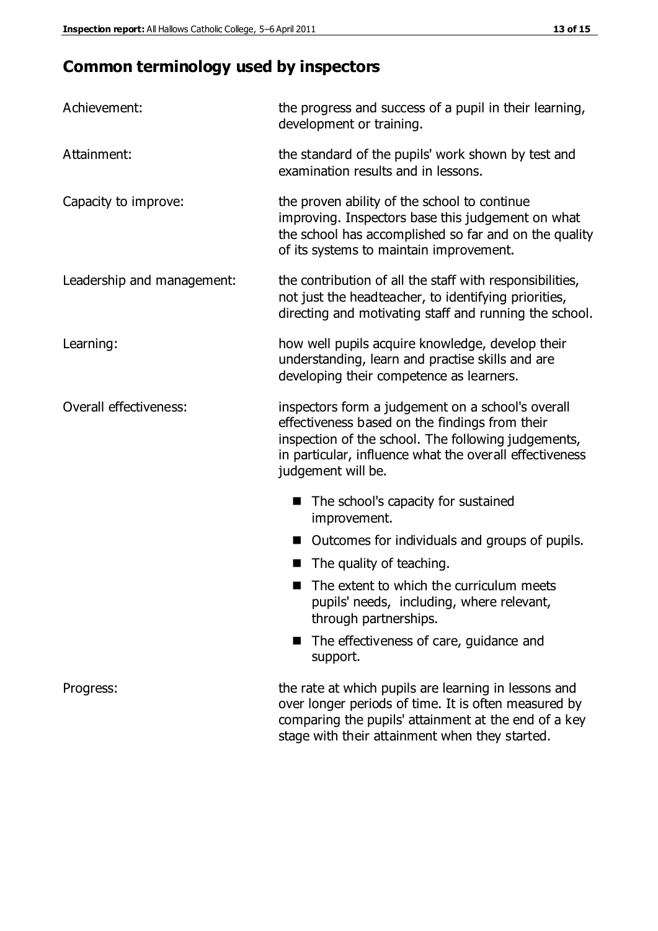# **Common terminology used by inspectors**

| Achievement:               | the progress and success of a pupil in their learning,<br>development or training.                                                                                                                                                          |  |  |
|----------------------------|---------------------------------------------------------------------------------------------------------------------------------------------------------------------------------------------------------------------------------------------|--|--|
| Attainment:                | the standard of the pupils' work shown by test and<br>examination results and in lessons.                                                                                                                                                   |  |  |
| Capacity to improve:       | the proven ability of the school to continue<br>improving. Inspectors base this judgement on what<br>the school has accomplished so far and on the quality<br>of its systems to maintain improvement.                                       |  |  |
| Leadership and management: | the contribution of all the staff with responsibilities,<br>not just the headteacher, to identifying priorities,<br>directing and motivating staff and running the school.                                                                  |  |  |
| Learning:                  | how well pupils acquire knowledge, develop their<br>understanding, learn and practise skills and are<br>developing their competence as learners.                                                                                            |  |  |
| Overall effectiveness:     | inspectors form a judgement on a school's overall<br>effectiveness based on the findings from their<br>inspection of the school. The following judgements,<br>in particular, influence what the overall effectiveness<br>judgement will be. |  |  |
|                            | The school's capacity for sustained<br>improvement.                                                                                                                                                                                         |  |  |
|                            | Outcomes for individuals and groups of pupils.                                                                                                                                                                                              |  |  |
|                            | The quality of teaching.                                                                                                                                                                                                                    |  |  |
|                            | The extent to which the curriculum meets<br>pupils' needs, including, where relevant,<br>through partnerships.                                                                                                                              |  |  |
|                            | The effectiveness of care, guidance and<br>support.                                                                                                                                                                                         |  |  |
| Progress:                  | the rate at which pupils are learning in lessons and<br>over longer periods of time. It is often measured by<br>comparing the pupils' attainment at the end of a key                                                                        |  |  |

stage with their attainment when they started.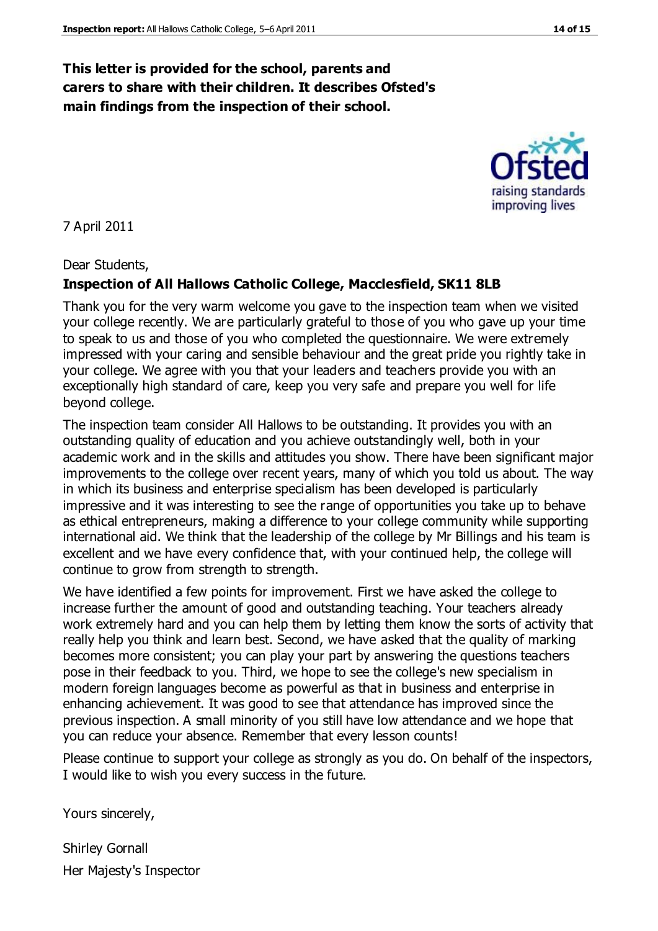# **This letter is provided for the school, parents and carers to share with their children. It describes Ofsted's main findings from the inspection of their school.**

7 April 2011

Dear Students,

#### **Inspection of All Hallows Catholic College, Macclesfield, SK11 8LB**

Thank you for the very warm welcome you gave to the inspection team when we visited your college recently. We are particularly grateful to those of you who gave up your time to speak to us and those of you who completed the questionnaire. We were extremely impressed with your caring and sensible behaviour and the great pride you rightly take in your college. We agree with you that your leaders and teachers provide you with an exceptionally high standard of care, keep you very safe and prepare you well for life beyond college.

The inspection team consider All Hallows to be outstanding. It provides you with an outstanding quality of education and you achieve outstandingly well, both in your academic work and in the skills and attitudes you show. There have been significant major improvements to the college over recent years, many of which you told us about. The way in which its business and enterprise specialism has been developed is particularly impressive and it was interesting to see the range of opportunities you take up to behave as ethical entrepreneurs, making a difference to your college community while supporting international aid. We think that the leadership of the college by Mr Billings and his team is excellent and we have every confidence that, with your continued help, the college will continue to grow from strength to strength.

We have identified a few points for improvement. First we have asked the college to increase further the amount of good and outstanding teaching. Your teachers already work extremely hard and you can help them by letting them know the sorts of activity that really help you think and learn best. Second, we have asked that the quality of marking becomes more consistent; you can play your part by answering the questions teachers pose in their feedback to you. Third, we hope to see the college's new specialism in modern foreign languages become as powerful as that in business and enterprise in enhancing achievement. It was good to see that attendance has improved since the previous inspection. A small minority of you still have low attendance and we hope that you can reduce your absence. Remember that every lesson counts!

Please continue to support your college as strongly as you do. On behalf of the inspectors, I would like to wish you every success in the future.

Yours sincerely,

Shirley Gornall Her Majesty's Inspector